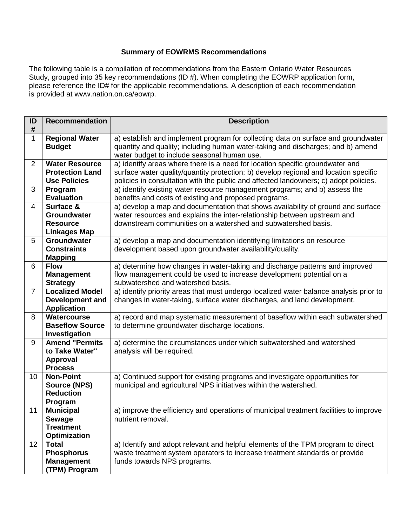## **Summary of EOWRMS Recommendations**

The following table is a compilation of recommendations from the Eastern Ontario Water Resources Study, grouped into 35 key recommendations (ID #). When completing the EOWRP application form, please reference the ID# for the applicable recommendations. A description of each recommendation is provided at www.nation.on.ca/eowrp.

| ID<br>#        | <b>Recommendation</b>                                                        | <b>Description</b>                                                                                                                                                                                                                                            |
|----------------|------------------------------------------------------------------------------|---------------------------------------------------------------------------------------------------------------------------------------------------------------------------------------------------------------------------------------------------------------|
| $\mathbf{1}$   | <b>Regional Water</b><br><b>Budget</b>                                       | a) establish and implement program for collecting data on surface and groundwater<br>quantity and quality; including human water-taking and discharges; and b) amend<br>water budget to include seasonal human use.                                           |
| $\overline{2}$ | <b>Water Resource</b><br><b>Protection Land</b><br><b>Use Policies</b>       | a) identify areas where there is a need for location specific groundwater and<br>surface water quality/quantity protection; b) develop regional and location specific<br>policies in consultation with the public and affected landowners; c) adopt policies. |
| 3              | Program<br><b>Evaluation</b>                                                 | a) identify existing water resource management programs; and b) assess the<br>benefits and costs of existing and proposed programs.                                                                                                                           |
| $\overline{4}$ | Surface &<br>Groundwater<br><b>Resource</b><br><b>Linkages Map</b>           | a) develop a map and documentation that shows availability of ground and surface<br>water resources and explains the inter-relationship between upstream and<br>downstream communities on a watershed and subwatershed basis.                                 |
| 5              | Groundwater<br><b>Constraints</b><br><b>Mapping</b>                          | a) develop a map and documentation identifying limitations on resource<br>development based upon groundwater availability/quality.                                                                                                                            |
| 6              | <b>Flow</b><br><b>Management</b><br><b>Strategy</b>                          | a) determine how changes in water-taking and discharge patterns and improved<br>flow management could be used to increase development potential on a<br>subwatershed and watershed basis.                                                                     |
| $\overline{7}$ | <b>Localized Model</b><br>Development and<br><b>Application</b>              | a) identify priority areas that must undergo localized water balance analysis prior to<br>changes in water-taking, surface water discharges, and land development.                                                                                            |
| 8              | Watercourse<br><b>Baseflow Source</b><br>Investigation                       | a) record and map systematic measurement of baseflow within each subwatershed<br>to determine groundwater discharge locations.                                                                                                                                |
| 9              | <b>Amend "Permits</b><br>to Take Water"<br><b>Approval</b><br><b>Process</b> | a) determine the circumstances under which subwatershed and watershed<br>analysis will be required.                                                                                                                                                           |
| 10             | <b>Non-Point</b><br><b>Source (NPS)</b><br><b>Reduction</b><br>Program       | a) Continued support for existing programs and investigate opportunities for<br>municipal and agricultural NPS initiatives within the watershed.                                                                                                              |
| 11             | <b>Municipal</b><br><b>Sewage</b><br><b>Treatment</b><br><b>Optimization</b> | a) improve the efficiency and operations of municipal treatment facilities to improve<br>nutrient removal.                                                                                                                                                    |
| 12             | <b>Total</b><br><b>Phosphorus</b><br><b>Management</b><br>(TPM) Program      | a) Identify and adopt relevant and helpful elements of the TPM program to direct<br>waste treatment system operators to increase treatment standards or provide<br>funds towards NPS programs.                                                                |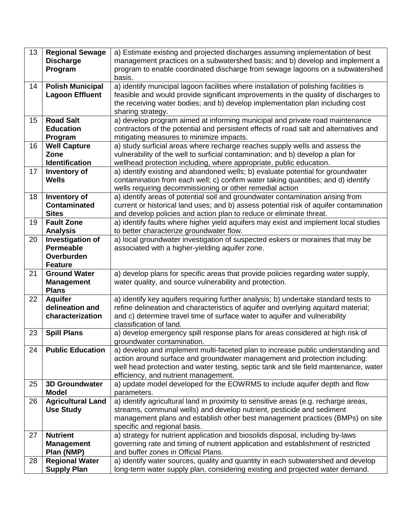| 13 | <b>Regional Sewage</b><br><b>Discharge</b>                           | a) Estimate existing and projected discharges assuming implementation of best<br>management practices on a subwatershed basis; and b) develop and implement a                                                                                                                                   |
|----|----------------------------------------------------------------------|-------------------------------------------------------------------------------------------------------------------------------------------------------------------------------------------------------------------------------------------------------------------------------------------------|
|    | Program                                                              | program to enable coordinated discharge from sewage lagoons on a subwatershed<br>basis.                                                                                                                                                                                                         |
| 14 | <b>Polish Municipal</b><br><b>Lagoon Effluent</b>                    | a) identify municipal lagoon facilities where installation of polishing facilities is<br>feasible and would provide significant improvements in the quality of discharges to<br>the receiving water bodies; and b) develop implementation plan including cost<br>sharing strategy.              |
| 15 | <b>Road Salt</b><br><b>Education</b><br>Program                      | a) develop program aimed at informing municipal and private road maintenance<br>contractors of the potential and persistent effects of road salt and alternatives and<br>mitigating measures to minimize impacts.                                                                               |
| 16 | <b>Well Capture</b><br>Zone<br>Identification                        | a) study surficial areas where recharge reaches supply wells and assess the<br>vulnerability of the well to surficial contamination; and b) develop a plan for<br>wellhead protection including, where appropriate, public education.                                                           |
| 17 | Inventory of<br><b>Wells</b>                                         | a) identify existing and abandoned wells; b) evaluate potential for groundwater<br>contamination from each well; c) confirm water taking quantities; and d) identify<br>wells requiring decommissioning or other remedial action                                                                |
| 18 | Inventory of<br><b>Contaminated</b><br><b>Sites</b>                  | a) identify areas of potential soil and groundwater contamination arising from<br>current or historical land uses; and b) assess potential risk of aquifer contamination<br>and develop policies and action plan to reduce or eliminate threat.                                                 |
| 19 | <b>Fault Zone</b><br><b>Analysis</b>                                 | a) identify faults where higher yield aquifers may exist and implement local studies<br>to better characterize groundwater flow.                                                                                                                                                                |
| 20 | Investigation of<br><b>Permeable</b><br>Overburden<br><b>Feature</b> | a) local groundwater investigation of suspected eskers or moraines that may be<br>associated with a higher-yielding aquifer zone.                                                                                                                                                               |
| 21 | <b>Ground Water</b><br><b>Management</b><br><b>Plans</b>             | a) develop plans for specific areas that provide policies regarding water supply,<br>water quality, and source vulnerability and protection.                                                                                                                                                    |
| 22 | <b>Aquifer</b><br>delineation and<br>characterization                | a) identify key aquifers requiring further analysis; b) undertake standard tests to<br>refine delineation and characteristics of aquifer and overlying aquitard material;<br>and c) determine travel time of surface water to aquifer and vulnerability<br>classification of land.              |
| 23 | <b>Spill Plans</b>                                                   | a) develop emergency spill response plans for areas considered at high risk of<br>groundwater contamination.                                                                                                                                                                                    |
| 24 | <b>Public Education</b>                                              | a) develop and implement multi-faceted plan to increase public understanding and<br>action around surface and groundwater management and protection including:<br>well head protection and water testing, septic tank and tile field maintenance, water<br>efficiency, and nutrient management. |
| 25 | <b>3D Groundwater</b><br><b>Model</b>                                | a) update model developed for the EOWRMS to include aquifer depth and flow<br>parameters.                                                                                                                                                                                                       |
| 26 | <b>Agricultural Land</b><br><b>Use Study</b>                         | a) identify agricultural land in proximity to sensitive areas (e.g. recharge areas,<br>streams, communal wells) and develop nutrient, pesticide and sediment<br>management plans and establish other best management practices (BMPs) on site<br>specific and regional basis.                   |
| 27 | <b>Nutrient</b><br><b>Management</b><br>Plan (NMP)                   | a) strategy for nutrient application and biosolids disposal, including by-laws<br>governing rate and timing of nutrient application and establishment of restricted<br>and buffer zones in Official Plans.                                                                                      |
| 28 | <b>Regional Water</b><br><b>Supply Plan</b>                          | a) identify water sources, quality and quantity in each subwatershed and develop<br>long-term water supply plan, considering existing and projected water demand.                                                                                                                               |